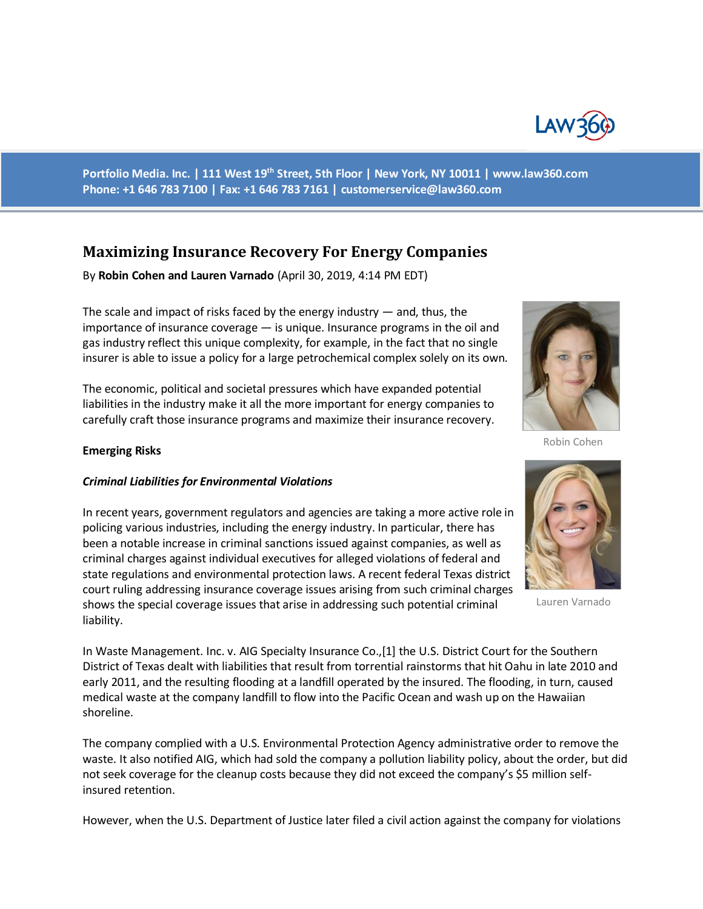

**Portfolio Media. Inc. | 111 West 19th Street, 5th Floor | New York, NY 10011 | www.law360.com Phone: +1 646 783 7100 | Fax: +1 646 783 7161 | [customerservice@law360.com](mailto:customerservice@law360.com)**

# **Maximizing Insurance Recovery For Energy Companies**

By **Robin Cohen and Lauren Varnado** (April 30, 2019, 4:14 PM EDT)

The scale and impact of risks faced by the energy industry — and, thus, the importance of insurance coverage — is unique. Insurance programs in the oil and gas industry reflect this unique complexity, for example, in the fact that no single insurer is able to issue a policy for a large petrochemical complex solely on its own.

The economic, political and societal pressures which have expanded potential liabilities in the industry make it all the more important for energy companies to carefully craft those insurance programs and maximize their insurance recovery.



Robin Cohen

#### **Emerging Risks**

#### *Criminal Liabilities for Environmental Violations*

In recent years, government regulators and agencies are taking a more active role in policing various industries, including the energy industry. In particular, there has been a notable increase in criminal sanctions issued against companies, as well as criminal charges against individual executives for alleged violations of federal and state regulations and environmental protection laws. A recent federal Texas district court ruling addressing insurance coverage issues arising from such criminal charges shows the special coverage issues that arise in addressing such potential criminal liability.

In Waste Management. Inc. v. AIG Specialty Insurance Co.,[1] the U.S. District Court for the Southern District of Texas dealt with liabilities that result from torrential rainstorms that hit Oahu in late 2010 and early 2011, and the resulting flooding at a landfill operated by the insured. The flooding, in turn, caused medical waste at the company landfill to flow into the Pacific Ocean and wash up on the Hawaiian shoreline.

The company complied with a U.S. Environmental Protection Agency administrative order to remove the waste. It also notified AIG, which had sold the company a pollution liability policy, about the order, but did not seek coverage for the cleanup costs because they did not exceed the company's \$5 million selfinsured retention.

However, when the U.S. Department of Justice later filed a civil action against the company for violations



Lauren Varnado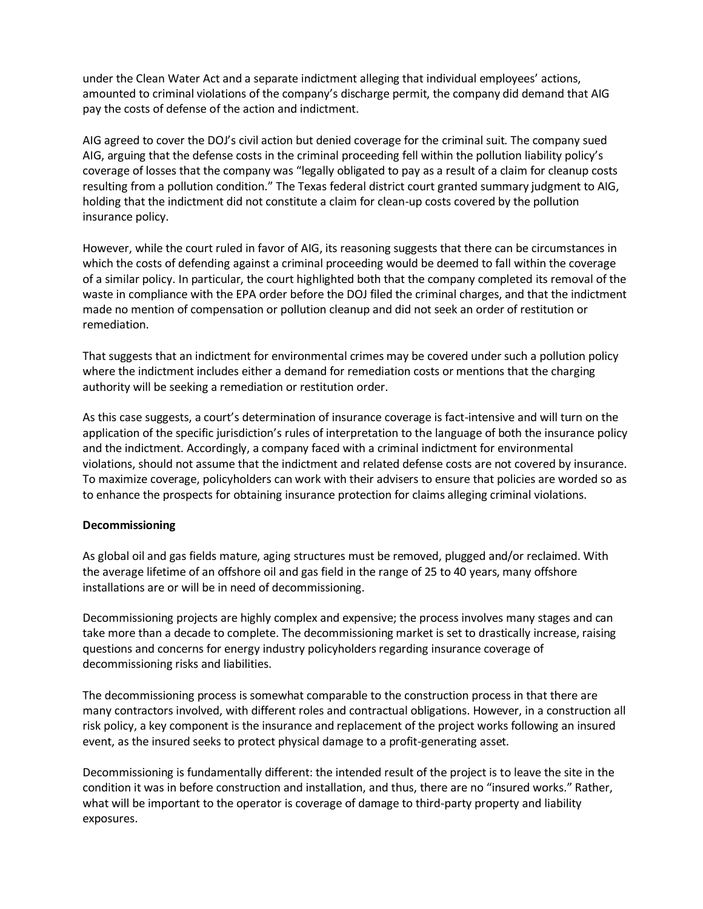under the Clean Water Act and a separate indictment alleging that individual employees' actions, amounted to criminal violations of the company's discharge permit, the company did demand that AIG pay the costs of defense of the action and indictment.

AIG agreed to cover the DOJ's civil action but denied coverage for the criminal suit. The company sued AIG, arguing that the defense costs in the criminal proceeding fell within the pollution liability policy's coverage of losses that the company was "legally obligated to pay as a result of a claim for cleanup costs resulting from a pollution condition." The Texas federal district court granted summary judgment to AIG, holding that the indictment did not constitute a claim for clean-up costs covered by the pollution insurance policy.

However, while the court ruled in favor of AIG, its reasoning suggests that there can be circumstances in which the costs of defending against a criminal proceeding would be deemed to fall within the coverage of a similar policy. In particular, the court highlighted both that the company completed its removal of the waste in compliance with the EPA order before the DOJ filed the criminal charges, and that the indictment made no mention of compensation or pollution cleanup and did not seek an order of restitution or remediation.

That suggests that an indictment for environmental crimes may be covered under such a pollution policy where the indictment includes either a demand for remediation costs or mentions that the charging authority will be seeking a remediation or restitution order.

As this case suggests, a court's determination of insurance coverage is fact-intensive and will turn on the application of the specific jurisdiction's rules of interpretation to the language of both the insurance policy and the indictment. Accordingly, a company faced with a criminal indictment for environmental violations, should not assume that the indictment and related defense costs are not covered by insurance. To maximize coverage, policyholders can work with their advisers to ensure that policies are worded so as to enhance the prospects for obtaining insurance protection for claims alleging criminal violations.

## **Decommissioning**

As global oil and gas fields mature, aging structures must be removed, plugged and/or reclaimed. With the average lifetime of an offshore oil and gas field in the range of 25 to 40 years, many offshore installations are or will be in need of decommissioning.

Decommissioning projects are highly complex and expensive; the process involves many stages and can take more than a decade to complete. The decommissioning market is set to drastically increase, raising questions and concerns for energy industry policyholders regarding insurance coverage of decommissioning risks and liabilities.

The decommissioning process is somewhat comparable to the construction process in that there are many contractors involved, with different roles and contractual obligations. However, in a construction all risk policy, a key component is the insurance and replacement of the project works following an insured event, as the insured seeks to protect physical damage to a profit-generating asset.

Decommissioning is fundamentally different: the intended result of the project is to leave the site in the condition it was in before construction and installation, and thus, there are no "insured works." Rather, what will be important to the operator is coverage of damage to third-party property and liability exposures.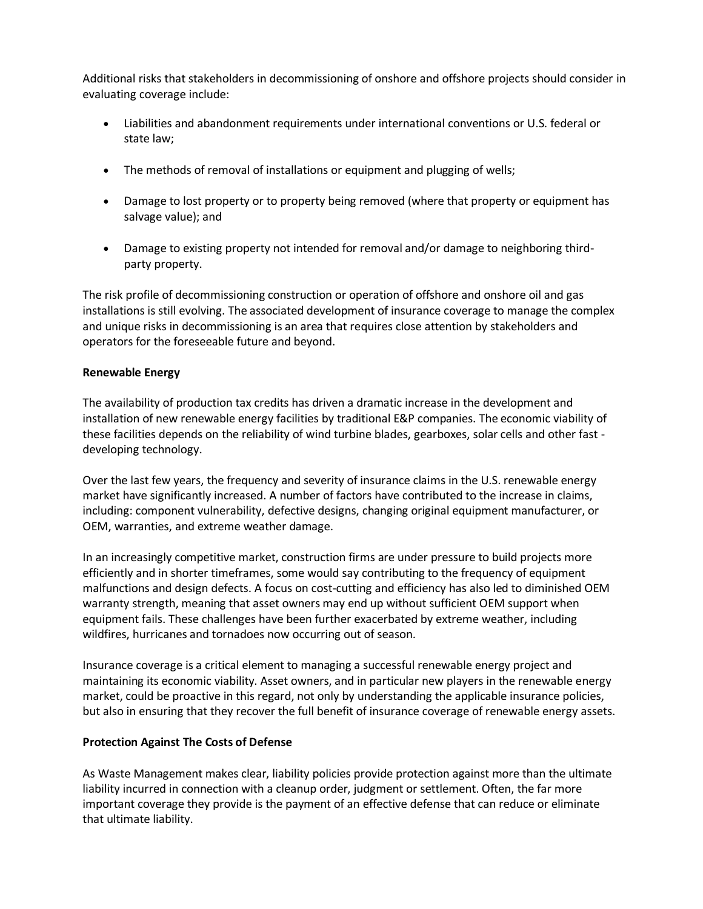Additional risks that stakeholders in decommissioning of onshore and offshore projects should consider in evaluating coverage include:

- Liabilities and abandonment requirements under international conventions or U.S. federal or state law;
- The methods of removal of installations or equipment and plugging of wells;
- Damage to lost property or to property being removed (where that property or equipment has salvage value); and
- Damage to existing property not intended for removal and/or damage to neighboring thirdparty property.

The risk profile of decommissioning construction or operation of offshore and onshore oil and gas installations is still evolving. The associated development of insurance coverage to manage the complex and unique risks in decommissioning is an area that requires close attention by stakeholders and operators for the foreseeable future and beyond.

#### **Renewable Energy**

The availability of production tax credits has driven a dramatic increase in the development and installation of new renewable energy facilities by traditional E&P companies. The economic viability of these facilities depends on the reliability of wind turbine blades, gearboxes, solar cells and other fast developing technology.

Over the last few years, the frequency and severity of insurance claims in the U.S. renewable energy market have significantly increased. A number of factors have contributed to the increase in claims, including: component vulnerability, defective designs, changing original equipment manufacturer, or OEM, warranties, and extreme weather damage.

In an increasingly competitive market, construction firms are under pressure to build projects more efficiently and in shorter timeframes, some would say contributing to the frequency of equipment malfunctions and design defects. A focus on cost-cutting and efficiency has also led to diminished OEM warranty strength, meaning that asset owners may end up without sufficient OEM support when equipment fails. These challenges have been further exacerbated by extreme weather, including wildfires, hurricanes and tornadoes now occurring out of season.

Insurance coverage is a critical element to managing a successful renewable energy project and maintaining its economic viability. Asset owners, and in particular new players in the renewable energy market, could be proactive in this regard, not only by understanding the applicable insurance policies, but also in ensuring that they recover the full benefit of insurance coverage of renewable energy assets.

#### **Protection Against The Costs of Defense**

As Waste Management makes clear, liability policies provide protection against more than the ultimate liability incurred in connection with a cleanup order, judgment or settlement. Often, the far more important coverage they provide is the payment of an effective defense that can reduce or eliminate that ultimate liability.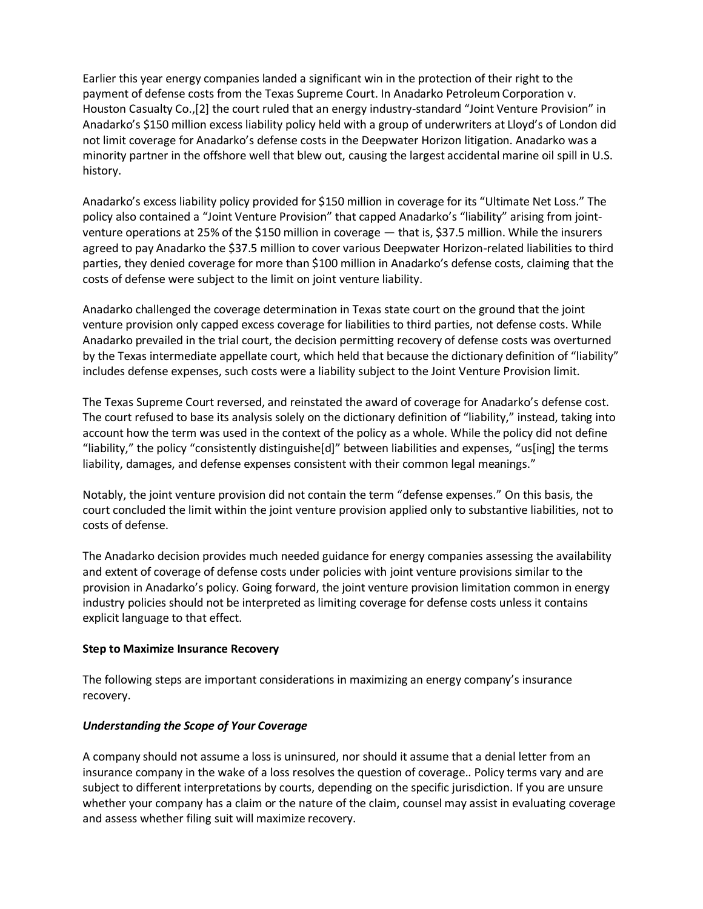Earlier this year energy companies landed a significant win in the protection of their right to the payment of defense costs from the Texas Supreme Court. In Anadarko Petroleum Corporation v. Houston Casualty Co.,[2] the court ruled that an energy industry-standard "Joint Venture Provision" in Anadarko's \$150 million excess liability policy held with a group of underwriters at Lloyd's of London did not limit coverage for Anadarko's defense costs in the Deepwater Horizon litigation. Anadarko was a minority partner in the offshore well that blew out, causing the largest accidental marine oil spill in U.S. history.

Anadarko's excess liability policy provided for \$150 million in coverage for its "Ultimate Net Loss." The policy also contained a "Joint Venture Provision" that capped Anadarko's "liability" arising from jointventure operations at 25% of the \$150 million in coverage — that is, \$37.5 million. While the insurers agreed to pay Anadarko the \$37.5 million to cover various Deepwater Horizon-related liabilities to third parties, they denied coverage for more than \$100 million in Anadarko's defense costs, claiming that the costs of defense were subject to the limit on joint venture liability.

Anadarko challenged the coverage determination in Texas state court on the ground that the joint venture provision only capped excess coverage for liabilities to third parties, not defense costs. While Anadarko prevailed in the trial court, the decision permitting recovery of defense costs was overturned by the Texas intermediate appellate court, which held that because the dictionary definition of "liability" includes defense expenses, such costs were a liability subject to the Joint Venture Provision limit.

The Texas Supreme Court reversed, and reinstated the award of coverage for Anadarko's defense cost. The court refused to base its analysis solely on the dictionary definition of "liability," instead, taking into account how the term was used in the context of the policy as a whole. While the policy did not define "liability," the policy "consistently distinguishe[d]" between liabilities and expenses, "us[ing] the terms liability, damages, and defense expenses consistent with their common legal meanings."

Notably, the joint venture provision did not contain the term "defense expenses." On this basis, the court concluded the limit within the joint venture provision applied only to substantive liabilities, not to costs of defense.

The Anadarko decision provides much needed guidance for energy companies assessing the availability and extent of coverage of defense costs under policies with joint venture provisions similar to the provision in Anadarko's policy. Going forward, the joint venture provision limitation common in energy industry policies should not be interpreted as limiting coverage for defense costs unless it contains explicit language to that effect.

## **Step to Maximize Insurance Recovery**

The following steps are important considerations in maximizing an energy company's insurance recovery.

## *Understanding the Scope of Your Coverage*

A company should not assume a loss is uninsured, nor should it assume that a denial letter from an insurance company in the wake of a loss resolves the question of coverage.. Policy terms vary and are subject to different interpretations by courts, depending on the specific jurisdiction. If you are unsure whether your company has a claim or the nature of the claim, counsel may assist in evaluating coverage and assess whether filing suit will maximize recovery.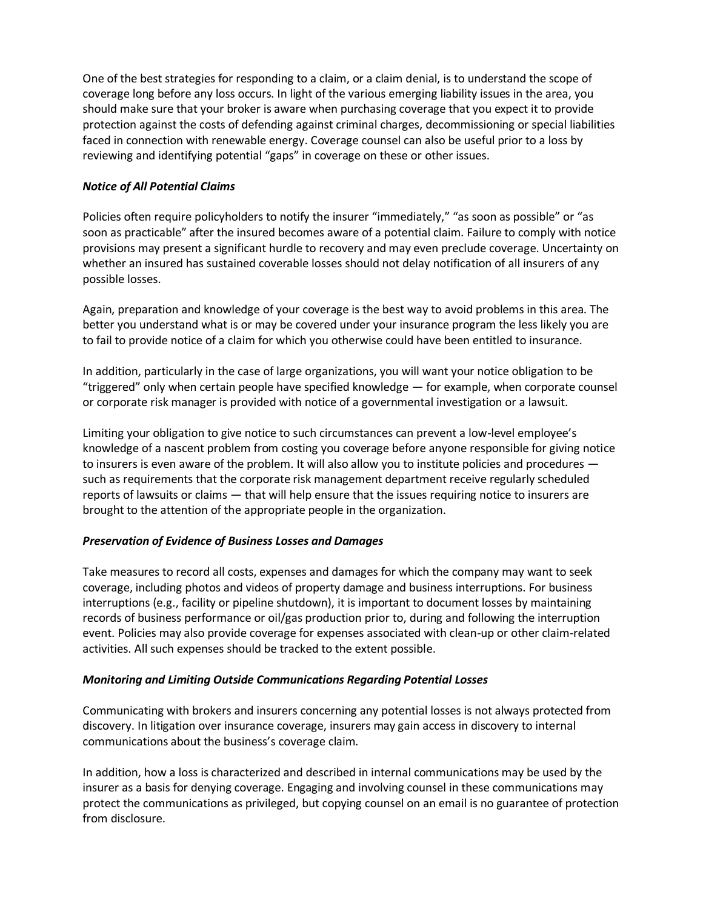One of the best strategies for responding to a claim, or a claim denial, is to understand the scope of coverage long before any loss occurs. In light of the various emerging liability issues in the area, you should make sure that your broker is aware when purchasing coverage that you expect it to provide protection against the costs of defending against criminal charges, decommissioning or special liabilities faced in connection with renewable energy. Coverage counsel can also be useful prior to a loss by reviewing and identifying potential "gaps" in coverage on these or other issues.

# *Notice of All Potential Claims*

Policies often require policyholders to notify the insurer "immediately," "as soon as possible" or "as soon as practicable" after the insured becomes aware of a potential claim. Failure to comply with notice provisions may present a significant hurdle to recovery and may even preclude coverage. Uncertainty on whether an insured has sustained coverable losses should not delay notification of all insurers of any possible losses.

Again, preparation and knowledge of your coverage is the best way to avoid problems in this area. The better you understand what is or may be covered under your insurance program the less likely you are to fail to provide notice of a claim for which you otherwise could have been entitled to insurance.

In addition, particularly in the case of large organizations, you will want your notice obligation to be "triggered" only when certain people have specified knowledge — for example, when corporate counsel or corporate risk manager is provided with notice of a governmental investigation or a lawsuit.

Limiting your obligation to give notice to such circumstances can prevent a low-level employee's knowledge of a nascent problem from costing you coverage before anyone responsible for giving notice to insurers is even aware of the problem. It will also allow you to institute policies and procedures such as requirements that the corporate risk management department receive regularly scheduled reports of lawsuits or claims — that will help ensure that the issues requiring notice to insurers are brought to the attention of the appropriate people in the organization.

## *Preservation of Evidence of Business Losses and Damages*

Take measures to record all costs, expenses and damages for which the company may want to seek coverage, including photos and videos of property damage and business interruptions. For business interruptions (e.g., facility or pipeline shutdown), it is important to document losses by maintaining records of business performance or oil/gas production prior to, during and following the interruption event. Policies may also provide coverage for expenses associated with clean-up or other claim-related activities. All such expenses should be tracked to the extent possible.

## *Monitoring and Limiting Outside Communications Regarding Potential Losses*

Communicating with brokers and insurers concerning any potential losses is not always protected from discovery. In litigation over insurance coverage, insurers may gain access in discovery to internal communications about the business's coverage claim.

In addition, how a loss is characterized and described in internal communications may be used by the insurer as a basis for denying coverage. Engaging and involving counsel in these communications may protect the communications as privileged, but copying counsel on an email is no guarantee of protection from disclosure.